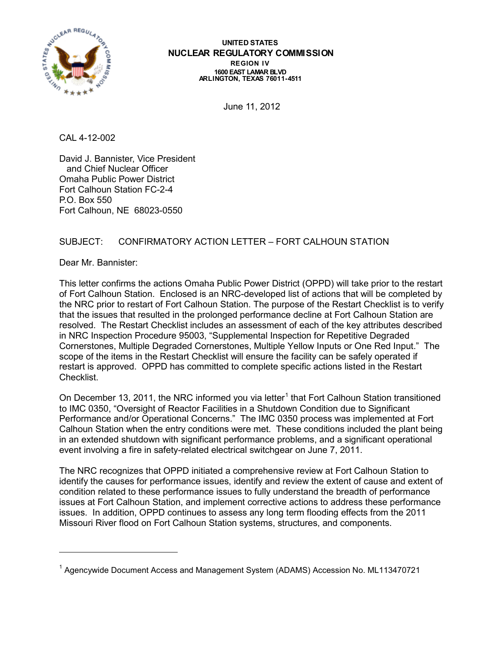

#### **UNITED STATES NUCLEAR REGULATORY COMMISSION REGION IV 1600 EAST LAMAR BLVD ARLINGTON, TEXAS 76011-4511**

June 11, 2012

CAL 4-12-002

David J. Bannister, Vice President and Chief Nuclear Officer Omaha Public Power District Fort Calhoun Station FC-2-4 P.O. Box 550 Fort Calhoun, NE 68023-0550

# SUBJECT: CONFIRMATORY ACTION LETTER – FORT CALHOUN STATION

Dear Mr. Bannister:

 $\ddot{\phantom{a}}$ 

This letter confirms the actions Omaha Public Power District (OPPD) will take prior to the restart of Fort Calhoun Station. Enclosed is an NRC-developed list of actions that will be completed by the NRC prior to restart of Fort Calhoun Station. The purpose of the Restart Checklist is to verify that the issues that resulted in the prolonged performance decline at Fort Calhoun Station are resolved. The Restart Checklist includes an assessment of each of the key attributes described in NRC Inspection Procedure 95003, "Supplemental Inspection for Repetitive Degraded Cornerstones, Multiple Degraded Cornerstones, Multiple Yellow Inputs or One Red Input." The scope of the items in the Restart Checklist will ensure the facility can be safely operated if restart is approved. OPPD has committed to complete specific actions listed in the Restart Checklist.

On December [1](#page-0-0)3, 2011, the NRC informed you via letter<sup>1</sup> that Fort Calhoun Station transitioned to IMC 0350, "Oversight of Reactor Facilities in a Shutdown Condition due to Significant Performance and/or Operational Concerns." The IMC 0350 process was implemented at Fort Calhoun Station when the entry conditions were met. These conditions included the plant being in an extended shutdown with significant performance problems, and a significant operational event involving a fire in safety-related electrical switchgear on June 7, 2011.

The NRC recognizes that OPPD initiated a comprehensive review at Fort Calhoun Station to identify the causes for performance issues, identify and review the extent of cause and extent of condition related to these performance issues to fully understand the breadth of performance issues at Fort Calhoun Station, and implement corrective actions to address these performance issues. In addition, OPPD continues to assess any long term flooding effects from the 2011 Missouri River flood on Fort Calhoun Station systems, structures, and components.

<span id="page-0-0"></span><sup>&</sup>lt;sup>1</sup> Agencywide Document Access and Management System (ADAMS) Accession No. ML113470721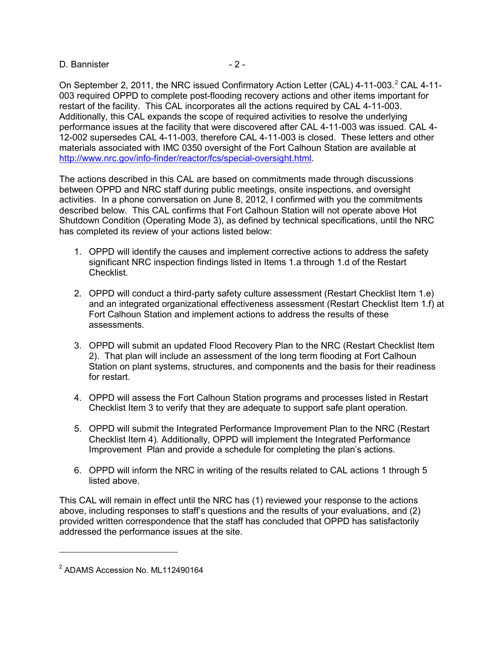### D. Bannister - 2 -

On September [2](#page-1-0), 2011, the NRC issued Confirmatory Action Letter (CAL) 4-11-003.<sup>2</sup> CAL 4-11<http://www.nrc.gov/info-finder/reactor/fcs/special-oversight.html> . 003 required OPPD to complete post-flooding recovery actions and other items important for restart of the facility. This CAL incorporates all the actions required by CAL 4-11-003. Additionally, this CAL expands the scope of required activities to resolve the underlying performance issues at the facility that were discovered after CAL 4-11-003 was issued. CAL 4- 12-002 supersedes CAL 4-11-003, therefore CAL 4-11-003 is closed. These letters and other materials associated with IMC 0350 oversight of the Fort Calhoun Station are available at

The actions described in this CAL are based on commitments made through discussions between OPPD and NRC staff during public meetings, onsite inspections, and oversight activities. In a phone conversation on June 8, 2012, I confirmed with you the commitments described below. This CAL confirms that Fort Calhoun Station will not operate above Hot Shutdown Condition (Operating Mode 3), as defined by technical specifications, until the NRC has completed its review of your actions listed below:

- 1. OPPD will identify the causes and implement corrective actions to address the safety significant NRC inspection findings listed in Items 1.a through 1.d of the Restart Checklist.
- 2. OPPD will conduct a third-party safety culture assessment (Restart Checklist Item 1.e) and an integrated organizational effectiveness assessment (Restart Checklist Item 1.f) at Fort Calhoun Station and implement actions to address the results of these assessments.
- 3. OPPD will submit an updated Flood Recovery Plan to the NRC (Restart Checklist Item 2). That plan will include an assessment of the long term flooding at Fort Calhoun Station on plant systems, structures, and components and the basis for their readiness for restart.
- 4. OPPD will assess the Fort Calhoun Station programs and processes listed in Restart Checklist Item 3 to verify that they are adequate to support safe plant operation.
- 5. OPPD will submit the Integrated Performance Improvement Plan to the NRC (Restart Checklist Item 4). Additionally, OPPD will implement the Integrated Performance Improvement Plan and provide a schedule for completing the plan's actions.
- 6. OPPD will inform the NRC in writing of the results related to CAL actions 1 through 5 listed above.

This CAL will remain in effect until the NRC has (1) reviewed your response to the actions above, including responses to staff's questions and the results of your evaluations, and (2) provided written correspondence that the staff has concluded that OPPD has satisfactorily addressed the performance issues at the site.

 $\ddot{\phantom{a}}$ 

<span id="page-1-0"></span><sup>&</sup>lt;sup>2</sup> ADAMS Accession No. ML112490164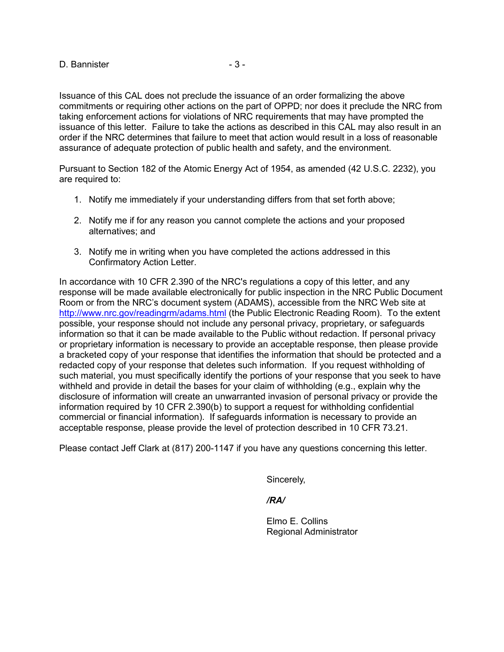D. Bannister - 3 -

Issuance of this CAL does not preclude the issuance of an order formalizing the above commitments or requiring other actions on the part of OPPD; nor does it preclude the NRC from taking enforcement actions for violations of NRC requirements that may have prompted the issuance of this letter. Failure to take the actions as described in this CAL may also result in an order if the NRC determines that failure to meet that action would result in a loss of reasonable assurance of adequate protection of public health and safety, and the environment.

Pursuant to Section 182 of the Atomic Energy Act of 1954, as amended (42 U.S.C. 2232), you are required to:

- 1. Notify me immediately if your understanding differs from that set forth above;
- 2. Notify me if for any reason you cannot complete the actions and your proposed alternatives; and
- 3. Notify me in writing when you have completed the actions addressed in this Confirmatory Action Letter.

In accordance with 10 CFR 2.390 of the NRC's regulations a copy of this letter, and any response will be made available electronically for public inspection in the NRC Public Document Room or from the NRC's document system (ADAMS), accessible from the NRC Web site at <http://www.nrc.gov/readingrm/adams.html> (the Public Electronic Reading Room). To the extent possible, your response should not include any personal privacy, proprietary, or safeguards information so that it can be made available to the Public without redaction. If personal privacy or proprietary information is necessary to provide an acceptable response, then please provide a bracketed copy of your response that identifies the information that should be protected and a redacted copy of your response that deletes such information. If you request withholding of such material, you must specifically identify the portions of your response that you seek to have withheld and provide in detail the bases for your claim of withholding (e.g., explain why the disclosure of information will create an unwarranted invasion of personal privacy or provide the information required by 10 CFR 2.390(b) to support a request for withholding confidential commercial or financial information). If safeguards information is necessary to provide an acceptable response, please provide the level of protection described in 10 CFR 73.21.

Please contact Jeff Clark at (817) 200-1147 if you have any questions concerning this letter.

Sincerely,

#### */RA/*

Elmo E. Collins Regional Administrator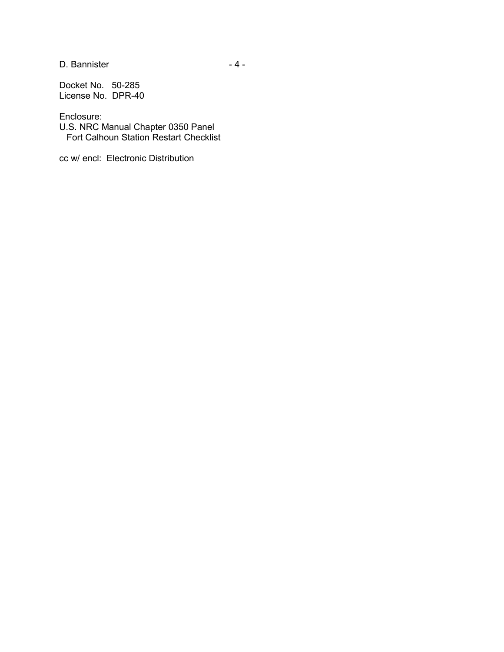D. Bannister - 4 -

Docket No. 50-285 License No. DPR-40

Enclosure:

U.S. NRC Manual Chapter 0350 Panel Fort Calhoun Station Restart Checklist

cc w/ encl: Electronic Distribution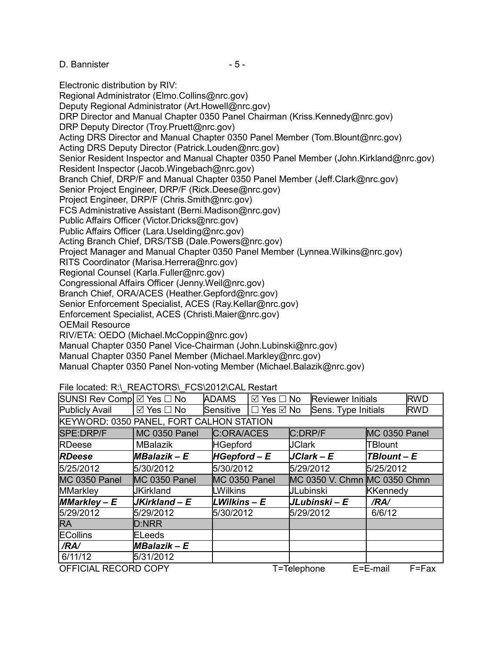D. Bannister - 5 -

Electronic distribution by RIV: Regional Administrator (Elmo.Collins@nrc.gov) Deputy Regional Administrator (Art.Howell@nrc.gov) DRP Director and Manual Chapter 0350 Panel Chairman (Kriss.Kennedy@nrc.gov) DRP Deputy Director (Troy.Pruett@nrc.gov) Acting DRS Director and Manual Chapter 0350 Panel Member (Tom.Blount@nrc.gov) Acting DRS Deputy Director (Patrick.Louden@nrc.gov) Senior Resident Inspector and Manual Chapter 0350 Panel Member (John.Kirkland@nrc.gov) Resident Inspector (Jacob.Wingebach@nrc.gov) Branch Chief, DRP/F and Manual Chapter 0350 Panel Member (Jeff.Clark@nrc.gov) Senior Project Engineer, DRP/F (Rick.Deese@nrc.gov) Project Engineer, DRP/F (Chris.Smith@nrc.gov) FCS Administrative Assistant (Berni.Madison@nrc.gov) Public Affairs Officer (Victor.Dricks@nrc.gov) Public Affairs Officer (Lara.Uselding@nrc.gov) Acting Branch Chief, DRS/TSB (Dale.Powers@nrc.gov) Project Manager and Manual Chapter 0350 Panel Member (Lynnea.Wilkins@nrc.gov) RITS Coordinator (Marisa.Herrera@nrc.gov) Regional Counsel (Karla.Fuller@nrc.gov) Congressional Affairs Officer (Jenny.Weil@nrc.gov) Branch Chief, ORA/ACES (Heather.Gepford@nrc.gov) Senior Enforcement Specialist, ACES (Ray.Kellar@nrc.gov) Enforcement Specialist, ACES (Christi.Maier@nrc.gov) OEMail Resource RIV/ETA: OEDO (Michael.McCoppin@nrc.gov) Manual Chapter 0350 Panel Vice-Chairman (John.Lubinski@nrc.gov) Manual Chapter 0350 Panel Member (Michael.Markley@nrc.gov)

Manual Chapter 0350 Panel Non-voting Member (Michael.Balazik@nrc.gov)

## File located: R:\\_REACTORS\\_FCS\2012\CAL Restart

| SUNSI Rev Comp Ø Yes □ No                                    |                           | <b>ADAMS</b>    | $\boxtimes$ Yes $\Box$ No |                  | <b>Reviewer Initials</b>     |                 | <b>RWD</b> |
|--------------------------------------------------------------|---------------------------|-----------------|---------------------------|------------------|------------------------------|-----------------|------------|
| <b>Publicly Avail</b>                                        | $\boxtimes$ Yes $\Box$ No | Sensitive       | $\Box$ Yes $\boxdot$ No   |                  | Sens. Type Initials          |                 | <b>RWD</b> |
| KEYWORD: 0350 PANEL, FORT CALHON STATION                     |                           |                 |                           |                  |                              |                 |            |
| SPE:DRP/F                                                    | <b>MC 0350 Panel</b>      | C:ORA/ACES      |                           | C:DRP/F          |                              | MC 0350 Panel   |            |
| <b>RDeese</b>                                                | <b>MBalazik</b>           | <b>HGepford</b> |                           | <b>JClark</b>    |                              | TBlount         |            |
| <b>RDeese</b>                                                | MBalazik - E              | $HGeptord-E$    |                           |                  | $JClark - E$                 | TBlount - E     |            |
| 5/25/2012                                                    | 5/30/2012                 | 5/30/2012       |                           | 5/29/2012        |                              | 5/25/2012       |            |
| <b>MC 0350 Panel</b>                                         | MC 0350 Panel             | MC 0350 Panel   |                           |                  | MC 0350 V. Chmn MC 0350 Chmn |                 |            |
| <b>MMarkley</b>                                              | <b>JKirkland</b>          | <b>LWilkins</b> |                           | <b>JLubinski</b> |                              | <b>KKennedy</b> |            |
| $MMarkley - E$                                               | JKirkland - E             | LWilkins – E    |                           |                  | JLubinski – E                | /RA/            |            |
| 5/29/2012                                                    | 5/29/2012                 | 5/30/2012       |                           | 5/29/2012        |                              | 6/6/12          |            |
| <b>RA</b>                                                    | <b>D:NRR</b>              |                 |                           |                  |                              |                 |            |
| <b>ECollins</b>                                              | <b>ELeeds</b>             |                 |                           |                  |                              |                 |            |
| /RA/                                                         | MBalazik - E              |                 |                           |                  |                              |                 |            |
| 6/11/12                                                      | 5/31/2012                 |                 |                           |                  |                              |                 |            |
| OFFICIAL RECORD COPY<br>E=E-mail<br>T=Telephone<br>$F = Fax$ |                           |                 |                           |                  |                              |                 |            |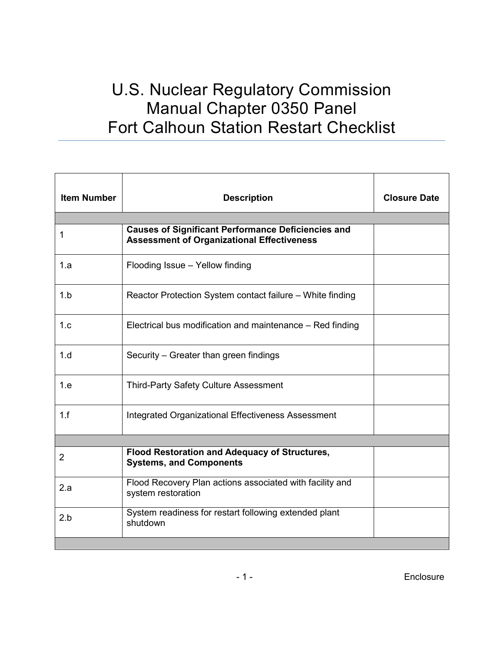# U.S. Nuclear Regulatory Commission Manual Chapter 0350 Panel Fort Calhoun Station Restart Checklist

| <b>Item Number</b> | <b>Description</b>                                                                                             | <b>Closure Date</b> |
|--------------------|----------------------------------------------------------------------------------------------------------------|---------------------|
|                    |                                                                                                                |                     |
| 1                  | <b>Causes of Significant Performance Deficiencies and</b><br><b>Assessment of Organizational Effectiveness</b> |                     |
| 1.a                | Flooding Issue - Yellow finding                                                                                |                     |
| 1.b                | Reactor Protection System contact failure – White finding                                                      |                     |
| 1.c                | Electrical bus modification and maintenance – Red finding                                                      |                     |
| 1.d                | Security – Greater than green findings                                                                         |                     |
| 1.e                | <b>Third-Party Safety Culture Assessment</b>                                                                   |                     |
| 1.f                | <b>Integrated Organizational Effectiveness Assessment</b>                                                      |                     |
|                    |                                                                                                                |                     |
| $\overline{2}$     | Flood Restoration and Adequacy of Structures,<br><b>Systems, and Components</b>                                |                     |
| 2.a                | Flood Recovery Plan actions associated with facility and<br>system restoration                                 |                     |
| 2.b                | System readiness for restart following extended plant<br>shutdown                                              |                     |
|                    |                                                                                                                |                     |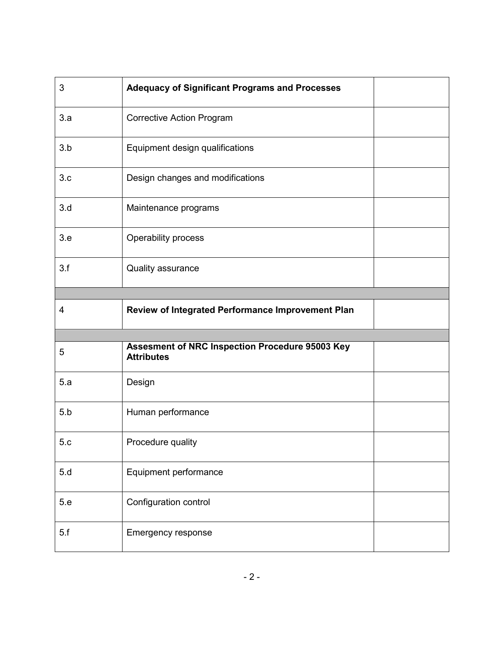| 3   | <b>Adequacy of Significant Programs and Processes</b>                |
|-----|----------------------------------------------------------------------|
| 3.a | <b>Corrective Action Program</b>                                     |
| 3.b | Equipment design qualifications                                      |
| 3.c | Design changes and modifications                                     |
| 3.d | Maintenance programs                                                 |
| 3.e | Operability process                                                  |
| 3.f | Quality assurance                                                    |
|     |                                                                      |
| 4   | Review of Integrated Performance Improvement Plan                    |
|     |                                                                      |
|     |                                                                      |
| 5   | Assesment of NRC Inspection Procedure 95003 Key<br><b>Attributes</b> |
| 5.a | Design                                                               |
| 5.b | Human performance                                                    |
| 5.c | Procedure quality                                                    |
| 5.d | Equipment performance                                                |
| 5.e | Configuration control                                                |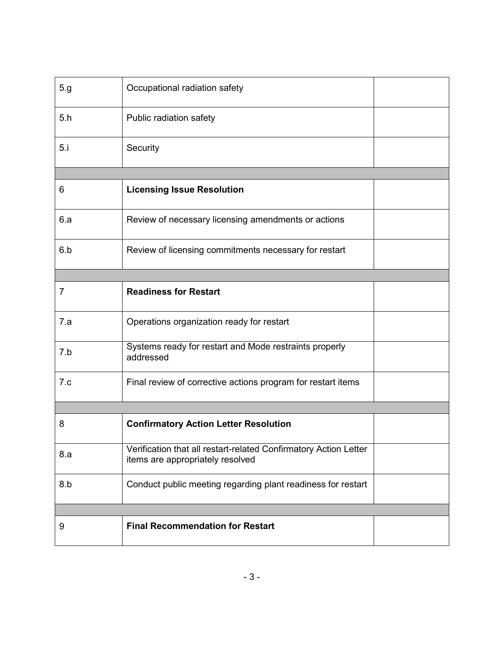| 5.g            | Occupational radiation safety                                                                        |  |
|----------------|------------------------------------------------------------------------------------------------------|--|
| 5.h            | Public radiation safety                                                                              |  |
| 5.i            | Security                                                                                             |  |
|                |                                                                                                      |  |
| 6              | <b>Licensing Issue Resolution</b>                                                                    |  |
| 6.a            | Review of necessary licensing amendments or actions                                                  |  |
| 6.b            | Review of licensing commitments necessary for restart                                                |  |
|                |                                                                                                      |  |
| $\overline{7}$ | <b>Readiness for Restart</b>                                                                         |  |
| 7.a            | Operations organization ready for restart                                                            |  |
| 7.b            | Systems ready for restart and Mode restraints properly<br>addressed                                  |  |
| 7.c            | Final review of corrective actions program for restart items                                         |  |
|                |                                                                                                      |  |
| 8              | <b>Confirmatory Action Letter Resolution</b>                                                         |  |
| 8.a            | Verification that all restart-related Confirmatory Action Letter<br>items are appropriately resolved |  |
| 8.b            | Conduct public meeting regarding plant readiness for restart                                         |  |
|                |                                                                                                      |  |
| 9              | <b>Final Recommendation for Restart</b>                                                              |  |